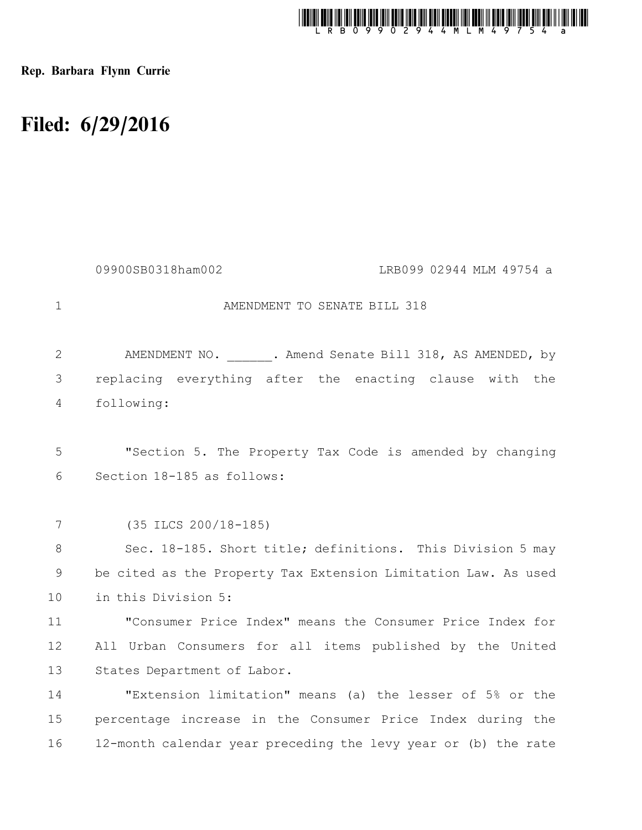

Rep. Barbara Flynn Currie

## Filed: 6/29/2016

|             | 09900SB0318ham002<br>LRB099 02944 MLM 49754 a                  |
|-------------|----------------------------------------------------------------|
| $\mathbf 1$ | AMENDMENT TO SENATE BILL 318                                   |
| 2           | AMENDMENT NO. . Amend Senate Bill 318, AS AMENDED, by          |
| 3           | replacing everything after the enacting clause with the        |
| 4           | following:                                                     |
|             |                                                                |
| 5           | "Section 5. The Property Tax Code is amended by changing       |
| 6           | Section 18-185 as follows:                                     |
|             |                                                                |
| 7           | $(35$ ILCS $200/18-185)$                                       |
| 8           | Sec. 18-185. Short title; definitions. This Division 5 may     |
| 9           | be cited as the Property Tax Extension Limitation Law. As used |
| 10          | in this Division 5:                                            |
| 11          | "Consumer Price Index" means the Consumer Price Index for      |
| 12          | All Urban Consumers for all items published by the United      |
| 13          | States Department of Labor.                                    |
| 14          | "Extension limitation" means (a) the lesser of 5% or the       |
| 15          | percentage increase in the Consumer Price Index during the     |
| 16          | 12-month calendar year preceding the levy year or (b) the rate |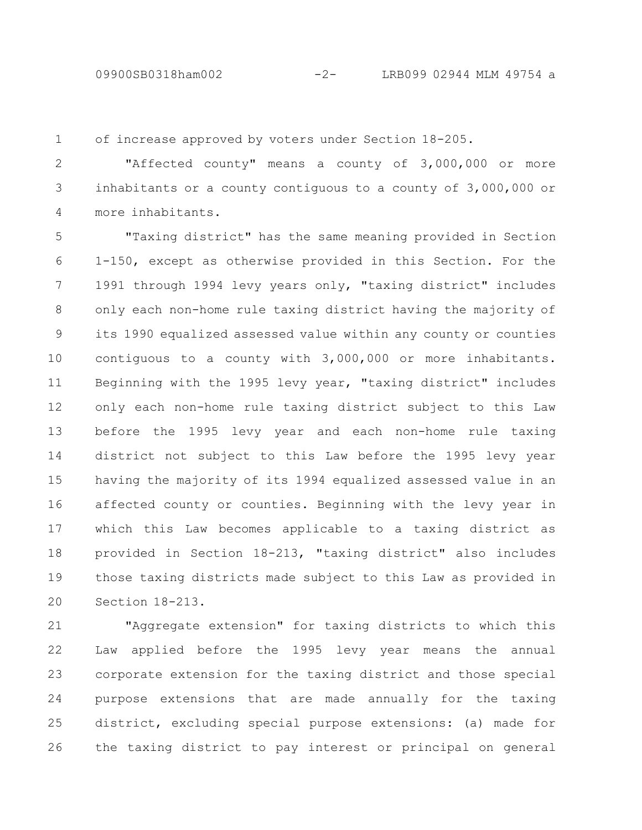of increase approved by voters under Section 18-205. 1

"Affected county" means a county of 3,000,000 or more inhabitants or a county contiguous to a county of 3,000,000 or more inhabitants. 2 3 4

"Taxing district" has the same meaning provided in Section 1-150, except as otherwise provided in this Section. For the 1991 through 1994 levy years only, "taxing district" includes only each non-home rule taxing district having the majority of its 1990 equalized assessed value within any county or counties contiguous to a county with 3,000,000 or more inhabitants. Beginning with the 1995 levy year, "taxing district" includes only each non-home rule taxing district subject to this Law before the 1995 levy year and each non-home rule taxing district not subject to this Law before the 1995 levy year having the majority of its 1994 equalized assessed value in an affected county or counties. Beginning with the levy year in which this Law becomes applicable to a taxing district as provided in Section 18-213, "taxing district" also includes those taxing districts made subject to this Law as provided in Section 18-213. 5 6 7 8 9 10 11 12 13 14 15 16 17 18 19 20

"Aggregate extension" for taxing districts to which this Law applied before the 1995 levy year means the annual corporate extension for the taxing district and those special purpose extensions that are made annually for the taxing district, excluding special purpose extensions: (a) made for the taxing district to pay interest or principal on general 21 22 23 24 25 26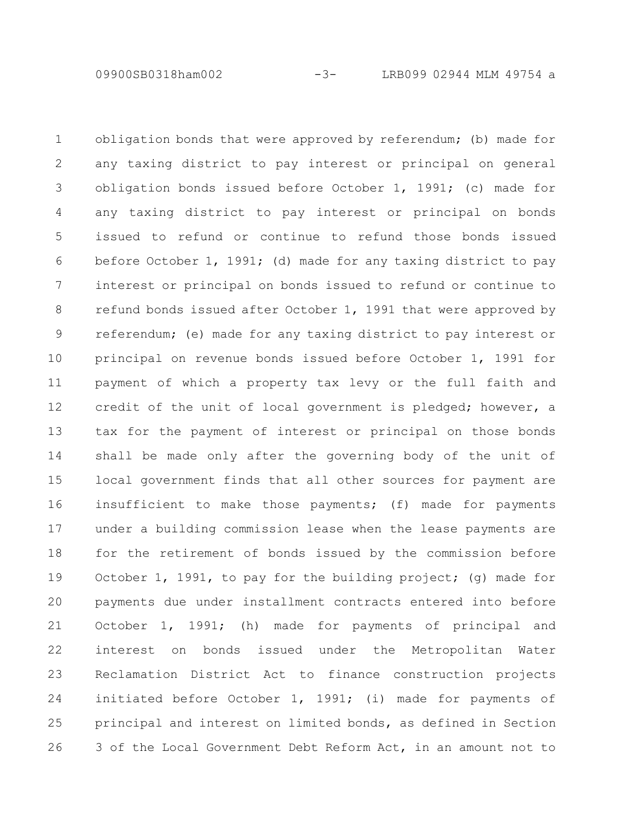09900SB0318ham002 -3- LRB099 02944 MLM 49754 a

obligation bonds that were approved by referendum; (b) made for any taxing district to pay interest or principal on general obligation bonds issued before October 1, 1991; (c) made for any taxing district to pay interest or principal on bonds issued to refund or continue to refund those bonds issued before October 1, 1991; (d) made for any taxing district to pay interest or principal on bonds issued to refund or continue to refund bonds issued after October 1, 1991 that were approved by referendum; (e) made for any taxing district to pay interest or principal on revenue bonds issued before October 1, 1991 for payment of which a property tax levy or the full faith and credit of the unit of local government is pledged; however, a tax for the payment of interest or principal on those bonds shall be made only after the governing body of the unit of local government finds that all other sources for payment are insufficient to make those payments; (f) made for payments under a building commission lease when the lease payments are for the retirement of bonds issued by the commission before October 1, 1991, to pay for the building project; (g) made for payments due under installment contracts entered into before October 1, 1991; (h) made for payments of principal and interest on bonds issued under the Metropolitan Water Reclamation District Act to finance construction projects initiated before October 1, 1991; (i) made for payments of principal and interest on limited bonds, as defined in Section 3 of the Local Government Debt Reform Act, in an amount not to 1 2 3 4 5 6 7 8 9 10 11 12 13 14 15 16 17 18 19 20 21 22 23 24 25 26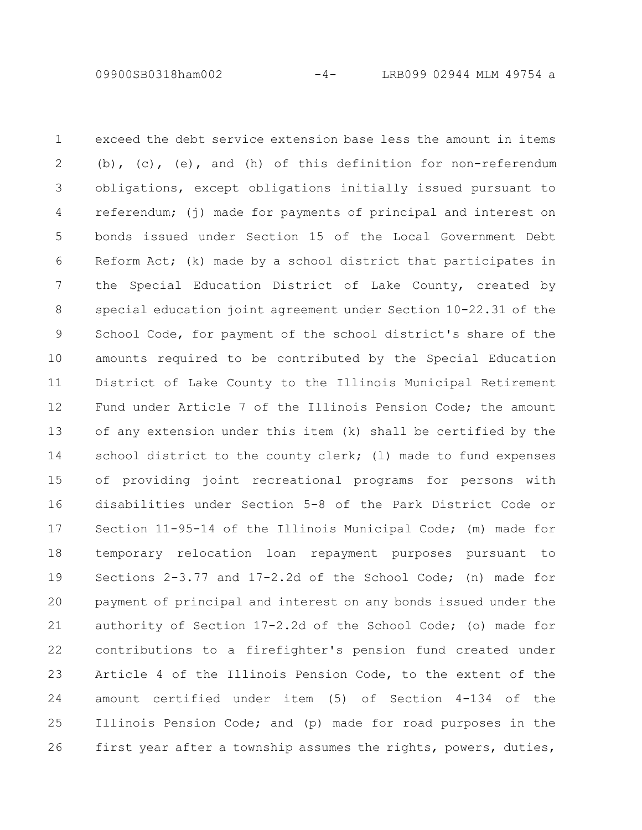09900SB0318ham002 -4- LRB099 02944 MLM 49754 a

exceed the debt service extension base less the amount in items (b), (c), (e), and (h) of this definition for non-referendum obligations, except obligations initially issued pursuant to referendum; (j) made for payments of principal and interest on bonds issued under Section 15 of the Local Government Debt Reform Act; (k) made by a school district that participates in the Special Education District of Lake County, created by special education joint agreement under Section 10-22.31 of the School Code, for payment of the school district's share of the amounts required to be contributed by the Special Education District of Lake County to the Illinois Municipal Retirement Fund under Article 7 of the Illinois Pension Code; the amount of any extension under this item (k) shall be certified by the school district to the county clerk; (1) made to fund expenses of providing joint recreational programs for persons with disabilities under Section 5-8 of the Park District Code or Section 11-95-14 of the Illinois Municipal Code; (m) made for temporary relocation loan repayment purposes pursuant to Sections 2-3.77 and 17-2.2d of the School Code; (n) made for payment of principal and interest on any bonds issued under the authority of Section 17-2.2d of the School Code; (o) made for contributions to a firefighter's pension fund created under Article 4 of the Illinois Pension Code, to the extent of the amount certified under item (5) of Section 4-134 of the Illinois Pension Code; and (p) made for road purposes in the first year after a township assumes the rights, powers, duties, 1 2 3 4 5 6 7 8 9 10 11 12 13 14 15 16 17 18 19 20 21 22 23 24 25 26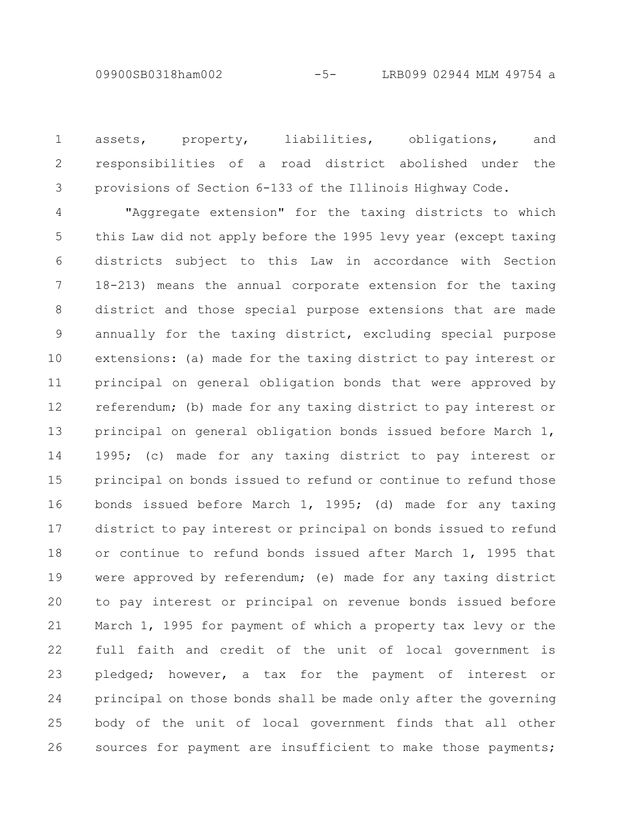assets, property, liabilities, obligations, and responsibilities of a road district abolished under the provisions of Section 6-133 of the Illinois Highway Code. 1 2 3

"Aggregate extension" for the taxing districts to which this Law did not apply before the 1995 levy year (except taxing districts subject to this Law in accordance with Section 18-213) means the annual corporate extension for the taxing district and those special purpose extensions that are made annually for the taxing district, excluding special purpose extensions: (a) made for the taxing district to pay interest or principal on general obligation bonds that were approved by referendum; (b) made for any taxing district to pay interest or principal on general obligation bonds issued before March 1, 1995; (c) made for any taxing district to pay interest or principal on bonds issued to refund or continue to refund those bonds issued before March 1, 1995; (d) made for any taxing district to pay interest or principal on bonds issued to refund or continue to refund bonds issued after March 1, 1995 that were approved by referendum; (e) made for any taxing district to pay interest or principal on revenue bonds issued before March 1, 1995 for payment of which a property tax levy or the full faith and credit of the unit of local government is pledged; however, a tax for the payment of interest or principal on those bonds shall be made only after the governing body of the unit of local government finds that all other sources for payment are insufficient to make those payments; 4 5 6 7 8 9 10 11 12 13 14 15 16 17 18 19 20 21 22 23 24 25 26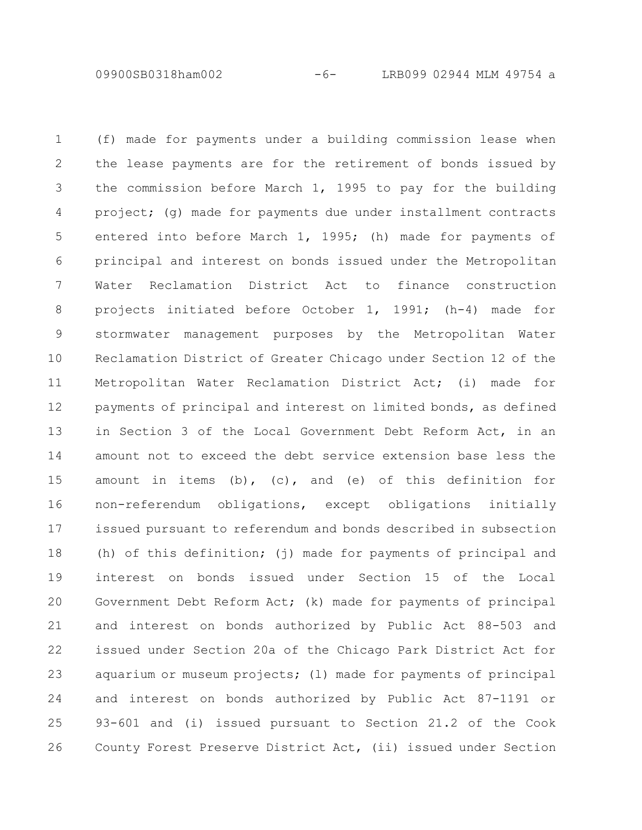09900SB0318ham002 -6- LRB099 02944 MLM 49754 a

(f) made for payments under a building commission lease when the lease payments are for the retirement of bonds issued by the commission before March 1, 1995 to pay for the building project; (g) made for payments due under installment contracts entered into before March 1, 1995; (h) made for payments of principal and interest on bonds issued under the Metropolitan Water Reclamation District Act to finance construction projects initiated before October 1, 1991; (h-4) made for stormwater management purposes by the Metropolitan Water Reclamation District of Greater Chicago under Section 12 of the Metropolitan Water Reclamation District Act; (i) made for payments of principal and interest on limited bonds, as defined in Section 3 of the Local Government Debt Reform Act, in an amount not to exceed the debt service extension base less the amount in items (b), (c), and (e) of this definition for non-referendum obligations, except obligations initially issued pursuant to referendum and bonds described in subsection (h) of this definition; (j) made for payments of principal and interest on bonds issued under Section 15 of the Local Government Debt Reform Act; (k) made for payments of principal and interest on bonds authorized by Public Act 88-503 and issued under Section 20a of the Chicago Park District Act for aquarium or museum projects; (l) made for payments of principal and interest on bonds authorized by Public Act 87-1191 or 93-601 and (i) issued pursuant to Section 21.2 of the Cook County Forest Preserve District Act, (ii) issued under Section 1 2 3 4 5 6 7 8 9 10 11 12 13 14 15 16 17 18 19 20 21 22 23 24 25 26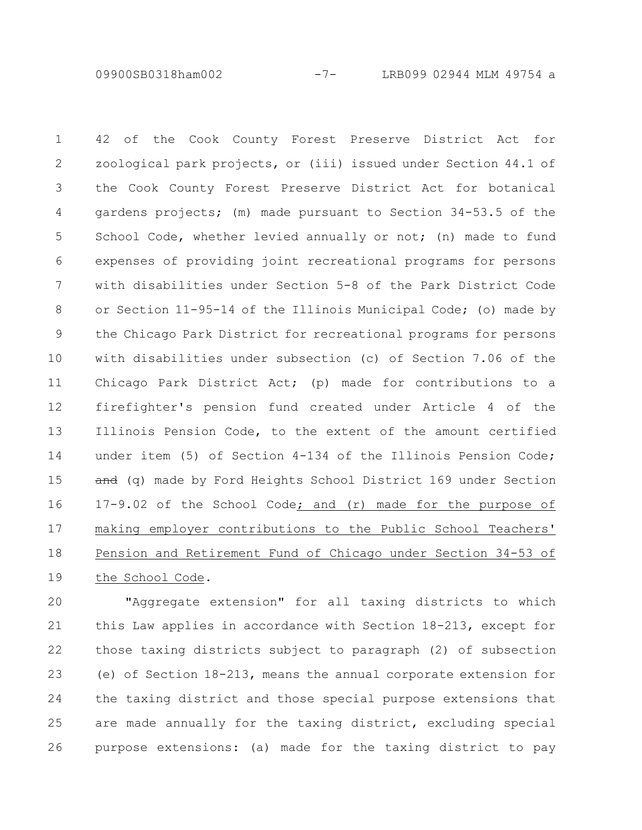09900SB0318ham002 -7- LRB099 02944 MLM 49754 a

42 of the Cook County Forest Preserve District Act for zoological park projects, or (iii) issued under Section 44.1 of the Cook County Forest Preserve District Act for botanical gardens projects; (m) made pursuant to Section 34-53.5 of the School Code, whether levied annually or not; (n) made to fund expenses of providing joint recreational programs for persons with disabilities under Section 5-8 of the Park District Code or Section 11-95-14 of the Illinois Municipal Code; (o) made by the Chicago Park District for recreational programs for persons with disabilities under subsection (c) of Section 7.06 of the Chicago Park District Act; (p) made for contributions to a firefighter's pension fund created under Article 4 of the Illinois Pension Code, to the extent of the amount certified under item (5) of Section 4-134 of the Illinois Pension Code; and (q) made by Ford Heights School District 169 under Section 17-9.02 of the School Code; and (r) made for the purpose of making employer contributions to the Public School Teachers' Pension and Retirement Fund of Chicago under Section 34-53 of the School Code. 1 2 3 4 5 6 7 8 9 10 11 12 13 14 15 16 17 18 19

"Aggregate extension" for all taxing districts to which this Law applies in accordance with Section 18-213, except for those taxing districts subject to paragraph (2) of subsection (e) of Section 18-213, means the annual corporate extension for the taxing district and those special purpose extensions that are made annually for the taxing district, excluding special purpose extensions: (a) made for the taxing district to pay 20 21 22 23 24 25 26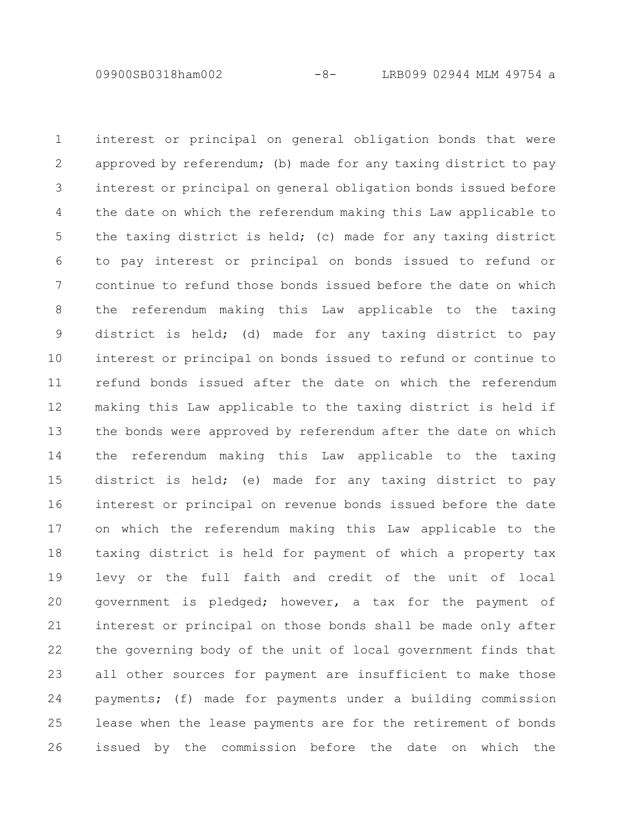09900SB0318ham002 -8- LRB099 02944 MLM 49754 a

interest or principal on general obligation bonds that were approved by referendum; (b) made for any taxing district to pay interest or principal on general obligation bonds issued before the date on which the referendum making this Law applicable to the taxing district is held; (c) made for any taxing district to pay interest or principal on bonds issued to refund or continue to refund those bonds issued before the date on which the referendum making this Law applicable to the taxing district is held; (d) made for any taxing district to pay interest or principal on bonds issued to refund or continue to refund bonds issued after the date on which the referendum making this Law applicable to the taxing district is held if the bonds were approved by referendum after the date on which the referendum making this Law applicable to the taxing district is held; (e) made for any taxing district to pay interest or principal on revenue bonds issued before the date on which the referendum making this Law applicable to the taxing district is held for payment of which a property tax levy or the full faith and credit of the unit of local government is pledged; however, a tax for the payment of interest or principal on those bonds shall be made only after the governing body of the unit of local government finds that all other sources for payment are insufficient to make those payments; (f) made for payments under a building commission lease when the lease payments are for the retirement of bonds issued by the commission before the date on which the 1 2 3 4 5 6 7 8 9 10 11 12 13 14 15 16 17 18 19 20 21 22 23 24 25 26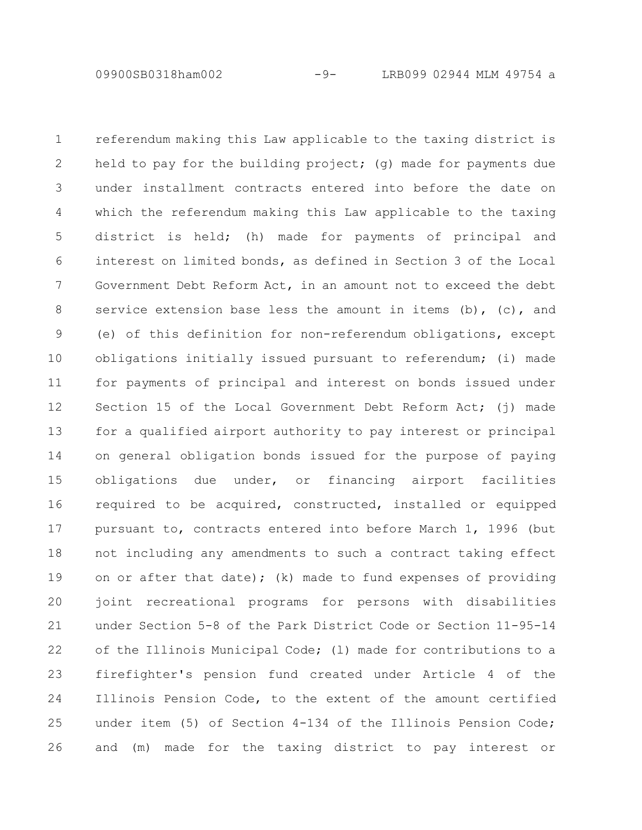09900SB0318ham002 -9- LRB099 02944 MLM 49754 a

referendum making this Law applicable to the taxing district is held to pay for the building project; (q) made for payments due under installment contracts entered into before the date on which the referendum making this Law applicable to the taxing district is held; (h) made for payments of principal and interest on limited bonds, as defined in Section 3 of the Local Government Debt Reform Act, in an amount not to exceed the debt service extension base less the amount in items  $(b)$ ,  $(c)$ , and (e) of this definition for non-referendum obligations, except obligations initially issued pursuant to referendum; (i) made for payments of principal and interest on bonds issued under Section 15 of the Local Government Debt Reform Act; (j) made for a qualified airport authority to pay interest or principal on general obligation bonds issued for the purpose of paying obligations due under, or financing airport facilities required to be acquired, constructed, installed or equipped pursuant to, contracts entered into before March 1, 1996 (but not including any amendments to such a contract taking effect on or after that date); (k) made to fund expenses of providing joint recreational programs for persons with disabilities under Section 5-8 of the Park District Code or Section 11-95-14 of the Illinois Municipal Code; (l) made for contributions to a firefighter's pension fund created under Article 4 of the Illinois Pension Code, to the extent of the amount certified under item (5) of Section 4-134 of the Illinois Pension Code; and (m) made for the taxing district to pay interest or 1 2 3 4 5 6 7 8 9 10 11 12 13 14 15 16 17 18 19 20 21 22 23 24 25 26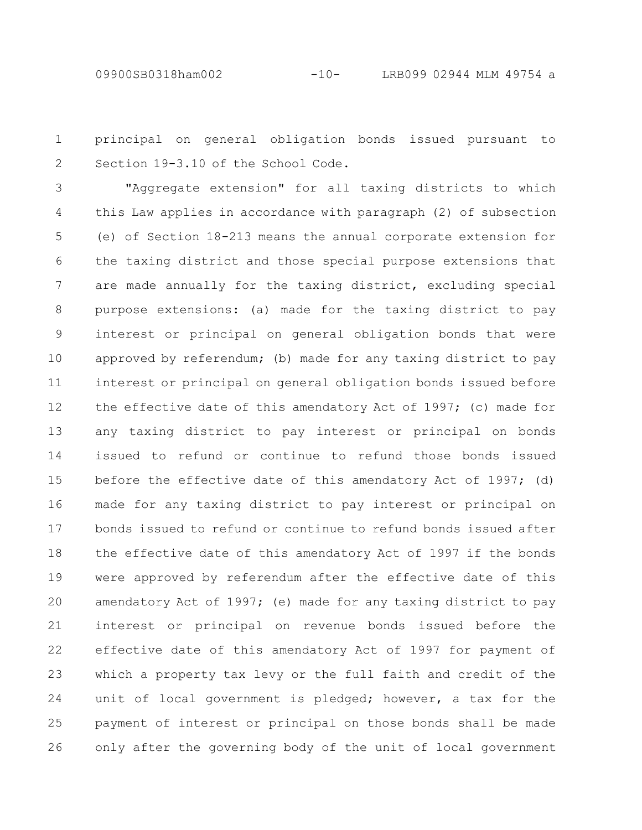principal on general obligation bonds issued pursuant to Section 19-3.10 of the School Code. 1 2

"Aggregate extension" for all taxing districts to which this Law applies in accordance with paragraph (2) of subsection (e) of Section 18-213 means the annual corporate extension for the taxing district and those special purpose extensions that are made annually for the taxing district, excluding special purpose extensions: (a) made for the taxing district to pay interest or principal on general obligation bonds that were approved by referendum; (b) made for any taxing district to pay interest or principal on general obligation bonds issued before the effective date of this amendatory Act of 1997; (c) made for any taxing district to pay interest or principal on bonds issued to refund or continue to refund those bonds issued before the effective date of this amendatory Act of 1997; (d) made for any taxing district to pay interest or principal on bonds issued to refund or continue to refund bonds issued after the effective date of this amendatory Act of 1997 if the bonds were approved by referendum after the effective date of this amendatory Act of 1997; (e) made for any taxing district to pay interest or principal on revenue bonds issued before the effective date of this amendatory Act of 1997 for payment of which a property tax levy or the full faith and credit of the unit of local government is pledged; however, a tax for the payment of interest or principal on those bonds shall be made only after the governing body of the unit of local government 3 4 5 6 7 8 9 10 11 12 13 14 15 16 17 18 19 20 21 22 23 24 25 26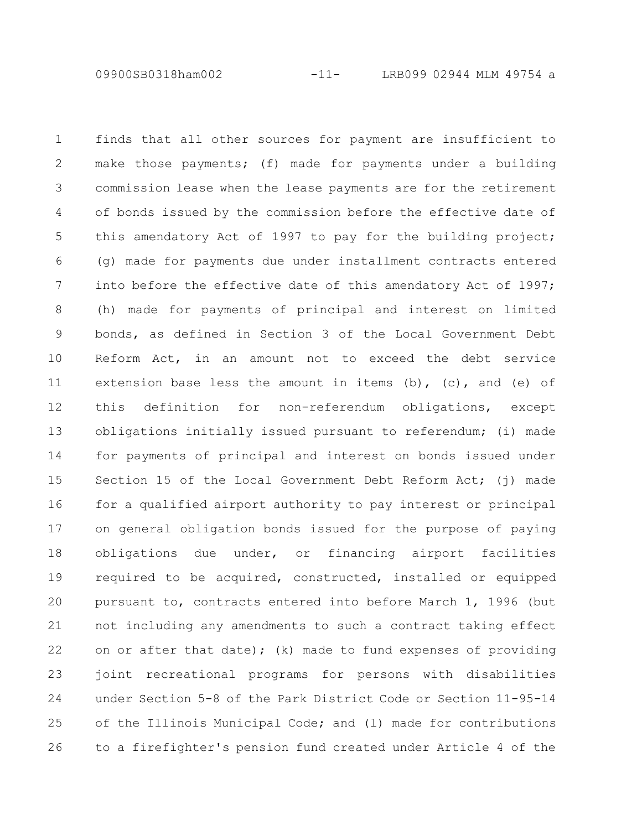09900SB0318ham002 -11- LRB099 02944 MLM 49754 a

finds that all other sources for payment are insufficient to make those payments; (f) made for payments under a building commission lease when the lease payments are for the retirement of bonds issued by the commission before the effective date of this amendatory Act of 1997 to pay for the building project; (g) made for payments due under installment contracts entered into before the effective date of this amendatory Act of 1997; (h) made for payments of principal and interest on limited bonds, as defined in Section 3 of the Local Government Debt Reform Act, in an amount not to exceed the debt service extension base less the amount in items  $(b)$ ,  $(c)$ , and  $(e)$  of this definition for non-referendum obligations, except obligations initially issued pursuant to referendum; (i) made for payments of principal and interest on bonds issued under Section 15 of the Local Government Debt Reform Act; (i) made for a qualified airport authority to pay interest or principal on general obligation bonds issued for the purpose of paying obligations due under, or financing airport facilities required to be acquired, constructed, installed or equipped pursuant to, contracts entered into before March 1, 1996 (but not including any amendments to such a contract taking effect on or after that date); (k) made to fund expenses of providing joint recreational programs for persons with disabilities under Section 5-8 of the Park District Code or Section 11-95-14 of the Illinois Municipal Code; and (l) made for contributions to a firefighter's pension fund created under Article 4 of the 1 2 3 4 5 6 7 8 9 10 11 12 13 14 15 16 17 18 19 20 21 22 23 24 25 26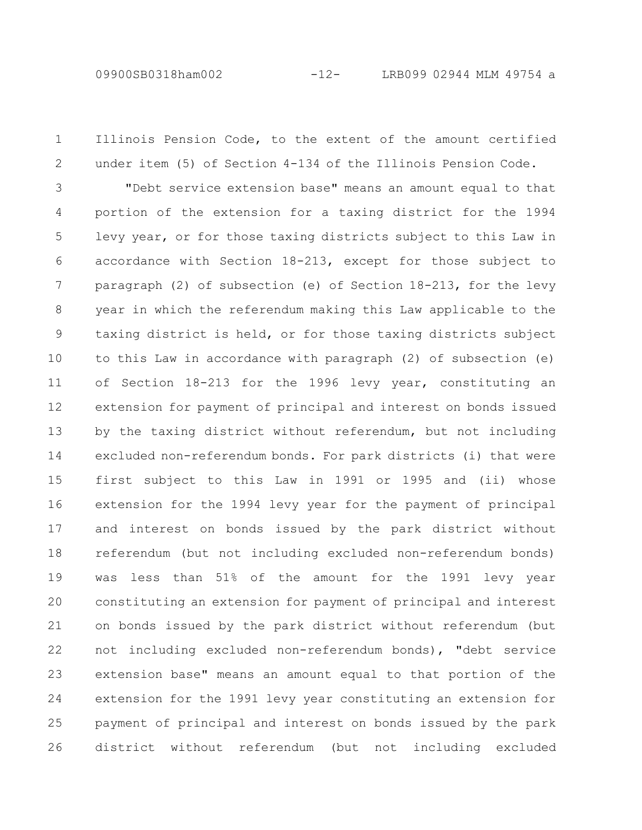09900SB0318ham002 -12- LRB099 02944 MLM 49754 a

Illinois Pension Code, to the extent of the amount certified under item (5) of Section 4-134 of the Illinois Pension Code. 1 2

"Debt service extension base" means an amount equal to that portion of the extension for a taxing district for the 1994 levy year, or for those taxing districts subject to this Law in accordance with Section 18-213, except for those subject to paragraph (2) of subsection (e) of Section 18-213, for the levy year in which the referendum making this Law applicable to the taxing district is held, or for those taxing districts subject to this Law in accordance with paragraph (2) of subsection (e) of Section 18-213 for the 1996 levy year, constituting an extension for payment of principal and interest on bonds issued by the taxing district without referendum, but not including excluded non-referendum bonds. For park districts (i) that were first subject to this Law in 1991 or 1995 and (ii) whose extension for the 1994 levy year for the payment of principal and interest on bonds issued by the park district without referendum (but not including excluded non-referendum bonds) was less than 51% of the amount for the 1991 levy year constituting an extension for payment of principal and interest on bonds issued by the park district without referendum (but not including excluded non-referendum bonds), "debt service extension base" means an amount equal to that portion of the extension for the 1991 levy year constituting an extension for payment of principal and interest on bonds issued by the park district without referendum (but not including excluded 3 4 5 6 7 8 9 10 11 12 13 14 15 16 17 18 19 20 21 22 23 24 25 26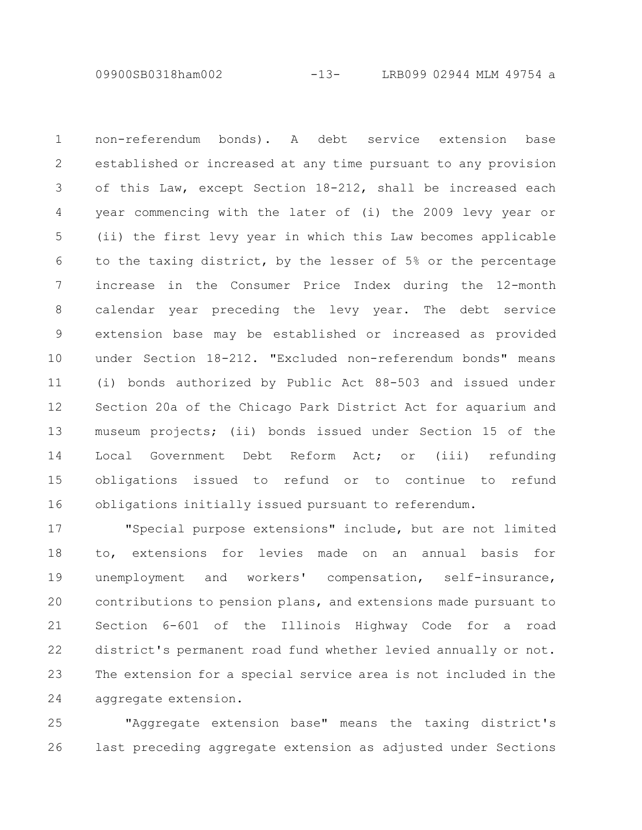09900SB0318ham002 -13- LRB099 02944 MLM 49754 a

non-referendum bonds). A debt service extension base established or increased at any time pursuant to any provision of this Law, except Section 18-212, shall be increased each year commencing with the later of (i) the 2009 levy year or (ii) the first levy year in which this Law becomes applicable to the taxing district, by the lesser of 5% or the percentage increase in the Consumer Price Index during the 12-month calendar year preceding the levy year. The debt service extension base may be established or increased as provided under Section 18-212. "Excluded non-referendum bonds" means (i) bonds authorized by Public Act 88-503 and issued under Section 20a of the Chicago Park District Act for aquarium and museum projects; (ii) bonds issued under Section 15 of the Local Government Debt Reform Act; or (iii) refunding obligations issued to refund or to continue to refund obligations initially issued pursuant to referendum. 1 2 3 4 5 6 7 8 9 10 11 12 13 14 15 16

"Special purpose extensions" include, but are not limited to, extensions for levies made on an annual basis for unemployment and workers' compensation, self-insurance, contributions to pension plans, and extensions made pursuant to Section 6-601 of the Illinois Highway Code for a road district's permanent road fund whether levied annually or not. The extension for a special service area is not included in the aggregate extension. 17 18 19 20 21 22 23 24

"Aggregate extension base" means the taxing district's last preceding aggregate extension as adjusted under Sections 25 26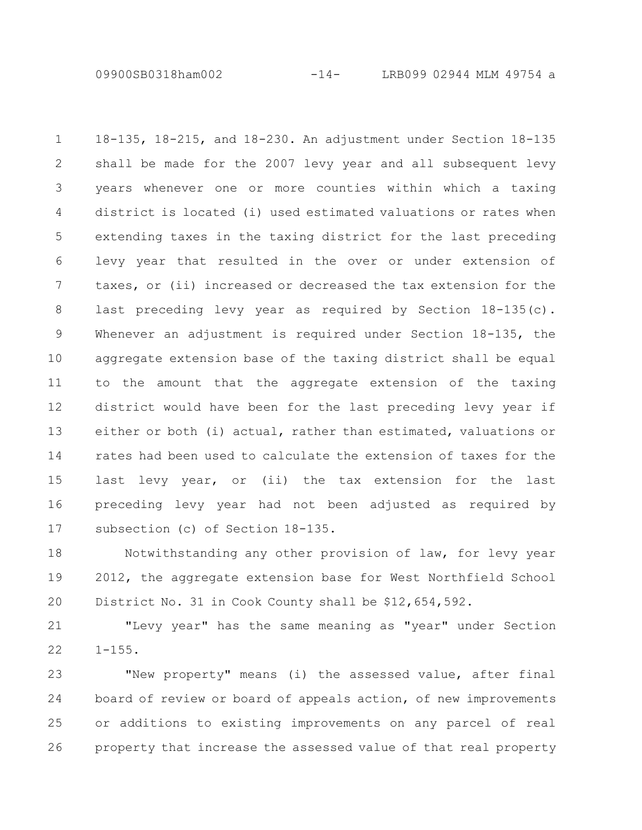09900SB0318ham002 -14- LRB099 02944 MLM 49754 a

18-135, 18-215, and 18-230. An adjustment under Section 18-135 shall be made for the 2007 levy year and all subsequent levy years whenever one or more counties within which a taxing district is located (i) used estimated valuations or rates when extending taxes in the taxing district for the last preceding levy year that resulted in the over or under extension of taxes, or (ii) increased or decreased the tax extension for the last preceding levy year as required by Section 18-135(c). Whenever an adjustment is required under Section 18-135, the aggregate extension base of the taxing district shall be equal to the amount that the aggregate extension of the taxing district would have been for the last preceding levy year if either or both (i) actual, rather than estimated, valuations or rates had been used to calculate the extension of taxes for the last levy year, or (ii) the tax extension for the last preceding levy year had not been adjusted as required by subsection (c) of Section 18-135. 1 2 3 4 5 6 7 8 9 10 11 12 13 14 15 16 17

Notwithstanding any other provision of law, for levy year 2012, the aggregate extension base for West Northfield School District No. 31 in Cook County shall be \$12,654,592. 18 19 20

"Levy year" has the same meaning as "year" under Section  $1 - 155$ . 21 22

"New property" means (i) the assessed value, after final board of review or board of appeals action, of new improvements or additions to existing improvements on any parcel of real property that increase the assessed value of that real property 23 24 25 26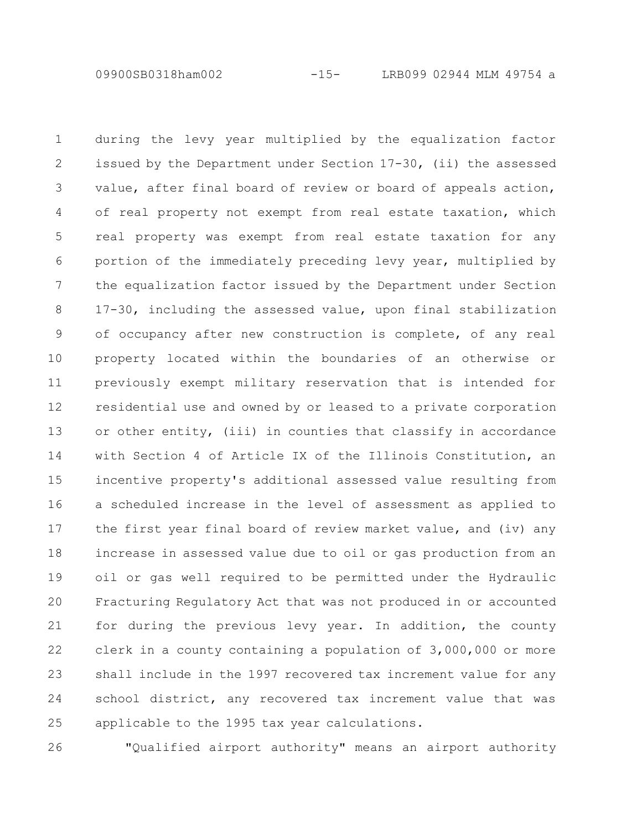09900SB0318ham002 -15- LRB099 02944 MLM 49754 a

during the levy year multiplied by the equalization factor issued by the Department under Section 17-30, (ii) the assessed value, after final board of review or board of appeals action, of real property not exempt from real estate taxation, which real property was exempt from real estate taxation for any portion of the immediately preceding levy year, multiplied by the equalization factor issued by the Department under Section 17-30, including the assessed value, upon final stabilization of occupancy after new construction is complete, of any real property located within the boundaries of an otherwise or previously exempt military reservation that is intended for residential use and owned by or leased to a private corporation or other entity, (iii) in counties that classify in accordance with Section 4 of Article IX of the Illinois Constitution, an incentive property's additional assessed value resulting from a scheduled increase in the level of assessment as applied to the first year final board of review market value, and (iv) any increase in assessed value due to oil or gas production from an oil or gas well required to be permitted under the Hydraulic Fracturing Regulatory Act that was not produced in or accounted for during the previous levy year. In addition, the county clerk in a county containing a population of 3,000,000 or more shall include in the 1997 recovered tax increment value for any school district, any recovered tax increment value that was applicable to the 1995 tax year calculations. 1 2 3 4 5 6 7 8 9 10 11 12 13 14 15 16 17 18 19 20 21 22 23 24 25

26

"Qualified airport authority" means an airport authority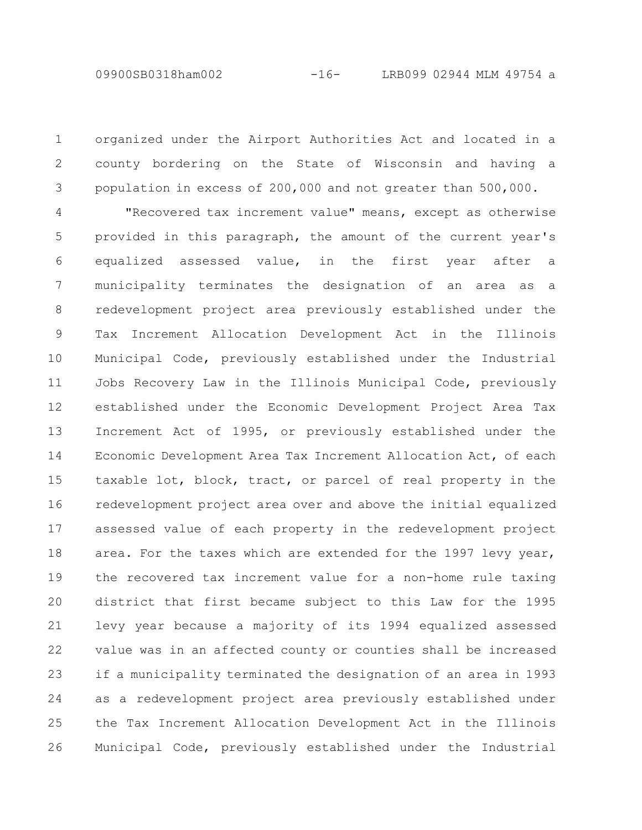organized under the Airport Authorities Act and located in a county bordering on the State of Wisconsin and having a population in excess of 200,000 and not greater than 500,000. 1 2 3

"Recovered tax increment value" means, except as otherwise provided in this paragraph, the amount of the current year's equalized assessed value, in the first year after a municipality terminates the designation of an area as a redevelopment project area previously established under the Tax Increment Allocation Development Act in the Illinois Municipal Code, previously established under the Industrial Jobs Recovery Law in the Illinois Municipal Code, previously established under the Economic Development Project Area Tax Increment Act of 1995, or previously established under the Economic Development Area Tax Increment Allocation Act, of each taxable lot, block, tract, or parcel of real property in the redevelopment project area over and above the initial equalized assessed value of each property in the redevelopment project area. For the taxes which are extended for the 1997 levy year, the recovered tax increment value for a non-home rule taxing district that first became subject to this Law for the 1995 levy year because a majority of its 1994 equalized assessed value was in an affected county or counties shall be increased if a municipality terminated the designation of an area in 1993 as a redevelopment project area previously established under the Tax Increment Allocation Development Act in the Illinois Municipal Code, previously established under the Industrial 4 5 6 7 8 9 10 11 12 13 14 15 16 17 18 19 20 21 22 23 24 25 26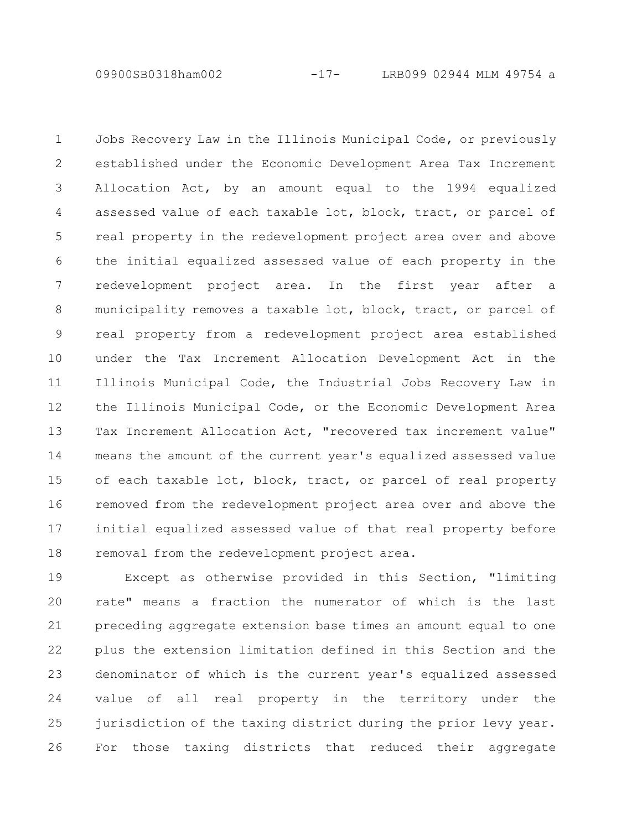09900SB0318ham002 -17- LRB099 02944 MLM 49754 a

Jobs Recovery Law in the Illinois Municipal Code, or previously established under the Economic Development Area Tax Increment Allocation Act, by an amount equal to the 1994 equalized assessed value of each taxable lot, block, tract, or parcel of real property in the redevelopment project area over and above the initial equalized assessed value of each property in the redevelopment project area. In the first year after a municipality removes a taxable lot, block, tract, or parcel of real property from a redevelopment project area established under the Tax Increment Allocation Development Act in the Illinois Municipal Code, the Industrial Jobs Recovery Law in the Illinois Municipal Code, or the Economic Development Area Tax Increment Allocation Act, "recovered tax increment value" means the amount of the current year's equalized assessed value of each taxable lot, block, tract, or parcel of real property removed from the redevelopment project area over and above the initial equalized assessed value of that real property before removal from the redevelopment project area. 1 2 3 4 5 6 7 8 9 10 11 12 13 14 15 16 17 18

Except as otherwise provided in this Section, "limiting rate" means a fraction the numerator of which is the last preceding aggregate extension base times an amount equal to one plus the extension limitation defined in this Section and the denominator of which is the current year's equalized assessed value of all real property in the territory under the jurisdiction of the taxing district during the prior levy year. For those taxing districts that reduced their aggregate 19 20 21 22 23 24 25 26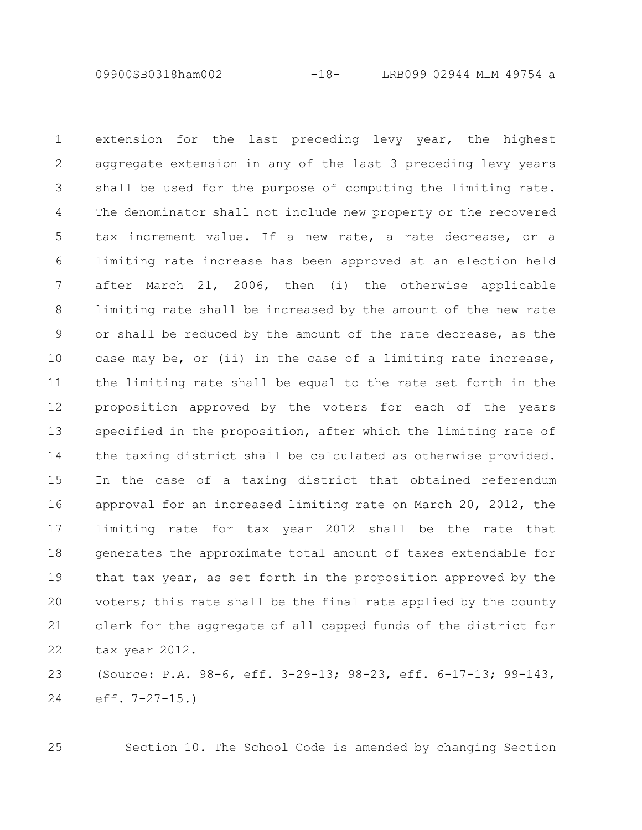09900SB0318ham002 -18- LRB099 02944 MLM 49754 a

extension for the last preceding levy year, the highest aggregate extension in any of the last 3 preceding levy years shall be used for the purpose of computing the limiting rate. The denominator shall not include new property or the recovered tax increment value. If a new rate, a rate decrease, or a limiting rate increase has been approved at an election held after March 21, 2006, then (i) the otherwise applicable limiting rate shall be increased by the amount of the new rate or shall be reduced by the amount of the rate decrease, as the case may be, or (ii) in the case of a limiting rate increase, the limiting rate shall be equal to the rate set forth in the proposition approved by the voters for each of the years specified in the proposition, after which the limiting rate of the taxing district shall be calculated as otherwise provided. In the case of a taxing district that obtained referendum approval for an increased limiting rate on March 20, 2012, the limiting rate for tax year 2012 shall be the rate that generates the approximate total amount of taxes extendable for that tax year, as set forth in the proposition approved by the voters; this rate shall be the final rate applied by the county clerk for the aggregate of all capped funds of the district for tax year 2012. 1 2 3 4 5 6 7 8 9 10 11 12 13 14 15 16 17 18 19 20 21 22

(Source: P.A. 98-6, eff. 3-29-13; 98-23, eff. 6-17-13; 99-143, eff. 7-27-15.) 23 24

25

Section 10. The School Code is amended by changing Section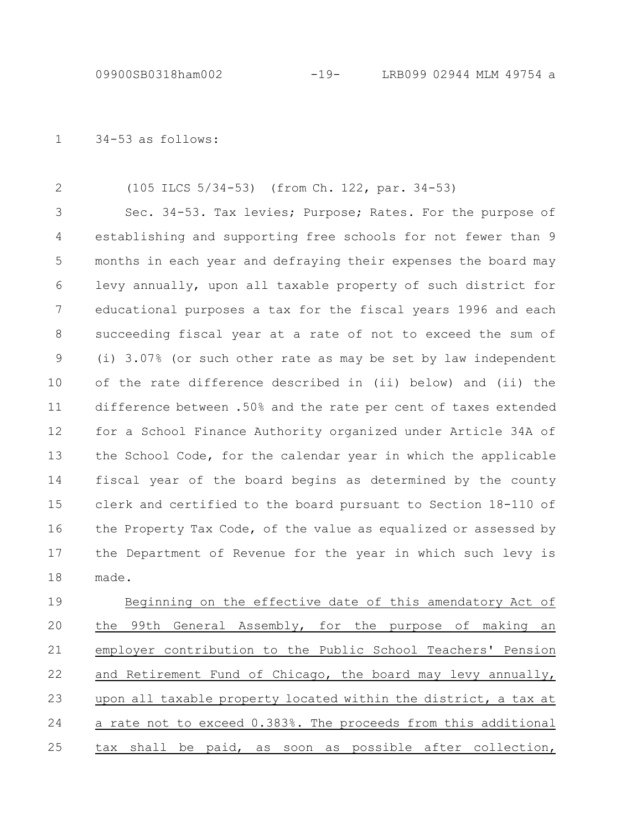34-53 as follows: 1

(105 ILCS 5/34-53) (from Ch. 122, par. 34-53) 2

Sec. 34-53. Tax levies; Purpose; Rates. For the purpose of establishing and supporting free schools for not fewer than 9 months in each year and defraying their expenses the board may levy annually, upon all taxable property of such district for educational purposes a tax for the fiscal years 1996 and each succeeding fiscal year at a rate of not to exceed the sum of (i) 3.07% (or such other rate as may be set by law independent of the rate difference described in (ii) below) and (ii) the difference between .50% and the rate per cent of taxes extended for a School Finance Authority organized under Article 34A of the School Code, for the calendar year in which the applicable fiscal year of the board begins as determined by the county clerk and certified to the board pursuant to Section 18-110 of the Property Tax Code, of the value as equalized or assessed by the Department of Revenue for the year in which such levy is made. 3 4 5 6 7 8 9 10 11 12 13 14 15 16 17 18

Beginning on the effective date of this amendatory Act of the 99th General Assembly, for the purpose of making an employer contribution to the Public School Teachers' Pension and Retirement Fund of Chicago, the board may levy annually, upon all taxable property located within the district, a tax at a rate not to exceed 0.383%. The proceeds from this additional tax shall be paid, as soon as possible after collection, 19 20 21 22 23 24 25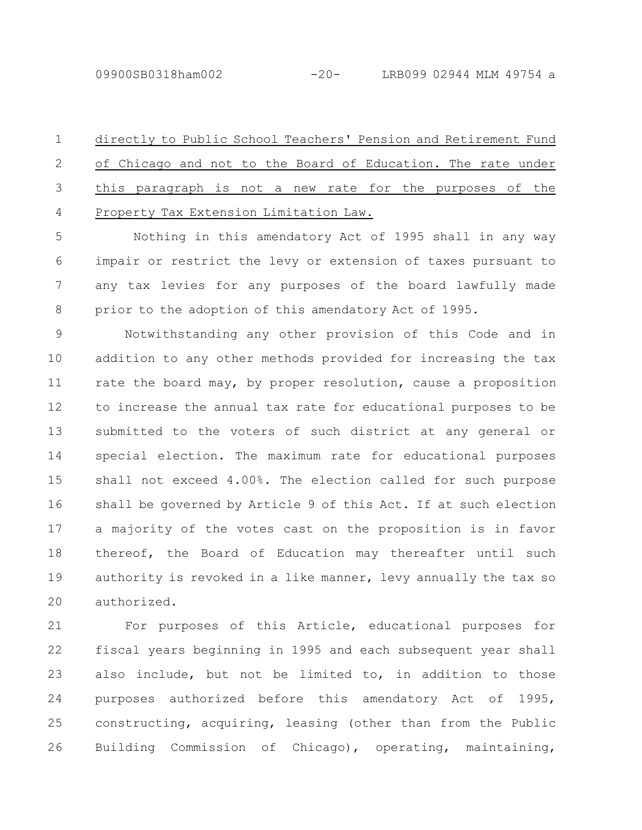09900SB0318ham002 -20- LRB099 02944 MLM 49754 a

directly to Public School Teachers' Pension and Retirement Fund of Chicago and not to the Board of Education. The rate under this paragraph is not a new rate for the purposes of the Property Tax Extension Limitation Law. 1 2 3 4

Nothing in this amendatory Act of 1995 shall in any way impair or restrict the levy or extension of taxes pursuant to any tax levies for any purposes of the board lawfully made prior to the adoption of this amendatory Act of 1995. 5 6 7 8

Notwithstanding any other provision of this Code and in addition to any other methods provided for increasing the tax rate the board may, by proper resolution, cause a proposition to increase the annual tax rate for educational purposes to be submitted to the voters of such district at any general or special election. The maximum rate for educational purposes shall not exceed 4.00%. The election called for such purpose shall be governed by Article 9 of this Act. If at such election a majority of the votes cast on the proposition is in favor thereof, the Board of Education may thereafter until such authority is revoked in a like manner, levy annually the tax so authorized. 9 10 11 12 13 14 15 16 17 18 19 20

For purposes of this Article, educational purposes for fiscal years beginning in 1995 and each subsequent year shall also include, but not be limited to, in addition to those purposes authorized before this amendatory Act of 1995, constructing, acquiring, leasing (other than from the Public Building Commission of Chicago), operating, maintaining, 21 22 23 24 25 26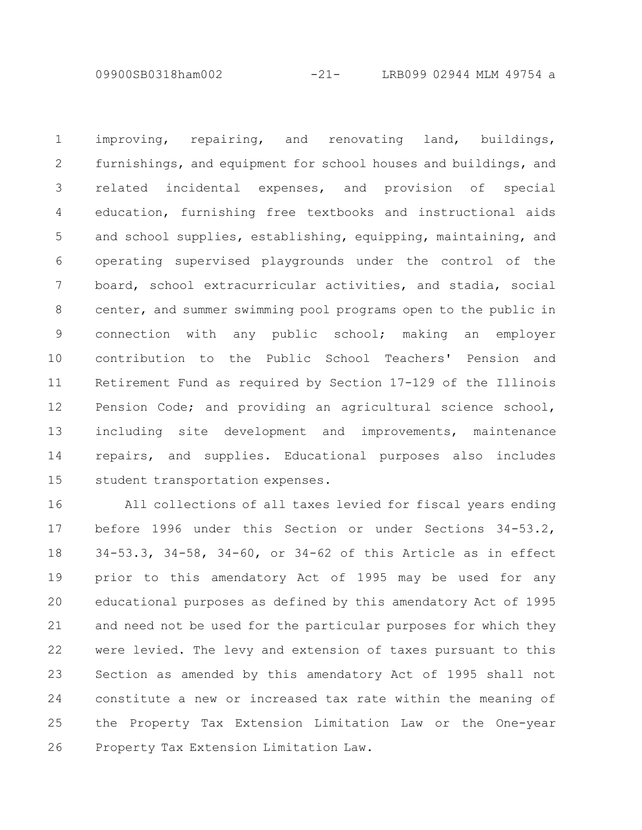09900SB0318ham002 -21- LRB099 02944 MLM 49754 a

improving, repairing, and renovating land, buildings, furnishings, and equipment for school houses and buildings, and related incidental expenses, and provision of special education, furnishing free textbooks and instructional aids and school supplies, establishing, equipping, maintaining, and operating supervised playgrounds under the control of the board, school extracurricular activities, and stadia, social center, and summer swimming pool programs open to the public in connection with any public school; making an employer contribution to the Public School Teachers' Pension and Retirement Fund as required by Section 17-129 of the Illinois Pension Code; and providing an agricultural science school, including site development and improvements, maintenance repairs, and supplies. Educational purposes also includes student transportation expenses. 1 2 3 4 5 6 7 8 9 10 11 12 13 14 15

All collections of all taxes levied for fiscal years ending before 1996 under this Section or under Sections 34-53.2, 34-53.3, 34-58, 34-60, or 34-62 of this Article as in effect prior to this amendatory Act of 1995 may be used for any educational purposes as defined by this amendatory Act of 1995 and need not be used for the particular purposes for which they were levied. The levy and extension of taxes pursuant to this Section as amended by this amendatory Act of 1995 shall not constitute a new or increased tax rate within the meaning of the Property Tax Extension Limitation Law or the One-year Property Tax Extension Limitation Law. 16 17 18 19 20 21 22 23 24 25 26